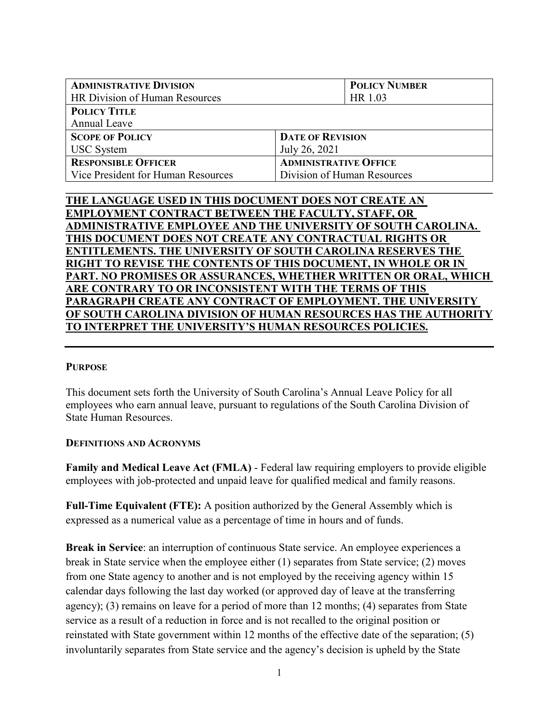| <b>ADMINISTRATIVE DIVISION</b>     | <b>POLICY NUMBER</b>         |  |
|------------------------------------|------------------------------|--|
| HR Division of Human Resources     | HR 1.03                      |  |
| <b>POLICY TITLE</b>                |                              |  |
| Annual Leave                       |                              |  |
| <b>SCOPE OF POLICY</b>             | <b>DATE OF REVISION</b>      |  |
| <b>USC</b> System                  | July 26, 2021                |  |
| <b>RESPONSIBLE OFFICER</b>         | <b>ADMINISTRATIVE OFFICE</b> |  |
| Vice President for Human Resources | Division of Human Resources  |  |
|                                    |                              |  |

# **THE LANGUAGE USED IN THIS DOCUMENT DOES NOT CREATE AN EMPLOYMENT CONTRACT BETWEEN THE FACULTY, STAFF, OR ADMINISTRATIVE EMPLOYEE AND THE UNIVERSITY OF SOUTH CAROLINA. THIS DOCUMENT DOES NOT CREATE ANY CONTRACTUAL RIGHTS OR ENTITLEMENTS. THE UNIVERSITY OF SOUTH CAROLINA RESERVES THE RIGHT TO REVISE THE CONTENTS OF THIS DOCUMENT, IN WHOLE OR IN PART. NO PROMISES OR ASSURANCES, WHETHER WRITTEN OR ORAL, WHICH ARE CONTRARY TO OR INCONSISTENT WITH THE TERMS OF THIS PARAGRAPH CREATE ANY CONTRACT OF EMPLOYMENT. THE UNIVERSITY OF SOUTH CAROLINA DIVISION OF HUMAN RESOURCES HAS THE AUTHORITY TO INTERPRET THE UNIVERSITY'S HUMAN RESOURCES POLICIES.**

### **PURPOSE**

This document sets forth the University of South Carolina's Annual Leave Policy for all employees who earn annual leave, pursuant to regulations of the South Carolina Division of State Human Resources.

### **DEFINITIONS AND ACRONYMS**

**Family and Medical Leave Act (FMLA)** - Federal law requiring employers to provide eligible employees with job-protected and unpaid leave for qualified medical and family reasons.

**Full-Time Equivalent (FTE):** A position authorized by the General Assembly which is expressed as a numerical value as a percentage of time in hours and of funds.

**Break in Service**: an interruption of continuous State service. An employee experiences a break in State service when the employee either (1) separates from State service; (2) moves from one State agency to another and is not employed by the receiving agency within 15 calendar days following the last day worked (or approved day of leave at the transferring agency); (3) remains on leave for a period of more than 12 months; (4) separates from State service as a result of a reduction in force and is not recalled to the original position or reinstated with State government within 12 months of the effective date of the separation; (5) involuntarily separates from State service and the agency's decision is upheld by the State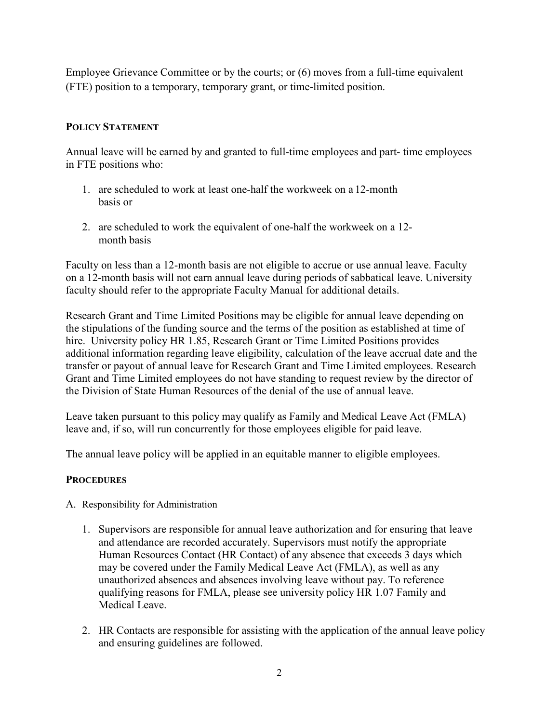Employee Grievance Committee or by the courts; or (6) moves from a full-time equivalent (FTE) position to a temporary, temporary grant, or time-limited position.

## **POLICY STATEMENT**

Annual leave will be earned by and granted to full-time employees and part- time employees in FTE positions who:

- 1. are scheduled to work at least one-half the workweek on a 12-month basis or
- 2. are scheduled to work the equivalent of one-half the workweek on a 12 month basis

Faculty on less than a 12-month basis are not eligible to accrue or use annual leave. Faculty on a 12-month basis will not earn annual leave during periods of sabbatical leave. University faculty should refer to the appropriate Faculty Manual for additional details.

Research Grant and Time Limited Positions may be eligible for annual leave depending on the stipulations of the funding source and the terms of the position as established at time of hire. University policy HR 1.85, Research Grant or Time Limited Positions provides additional information regarding leave eligibility, calculation of the leave accrual date and the transfer or payout of annual leave for Research Grant and Time Limited employees. Research Grant and Time Limited employees do not have standing to request review by the director of the Division of State Human Resources of the denial of the use of annual leave.

Leave taken pursuant to this policy may qualify as Family and Medical Leave Act (FMLA) leave and, if so, will run concurrently for those employees eligible for paid leave.

The annual leave policy will be applied in an equitable manner to eligible employees.

### **PROCEDURES**

- A. Responsibility for Administration
	- 1. Supervisors are responsible for annual leave authorization and for ensuring that leave and attendance are recorded accurately. Supervisors must notify the appropriate Human Resources Contact (HR Contact) of any absence that exceeds 3 days which may be covered under the Family Medical Leave Act (FMLA), as well as any unauthorized absences and absences involving leave without pay. To reference qualifying reasons for FMLA, please see university policy HR 1.07 Family and Medical Leave.
	- 2. HR Contacts are responsible for assisting with the application of the annual leave policy and ensuring guidelines are followed.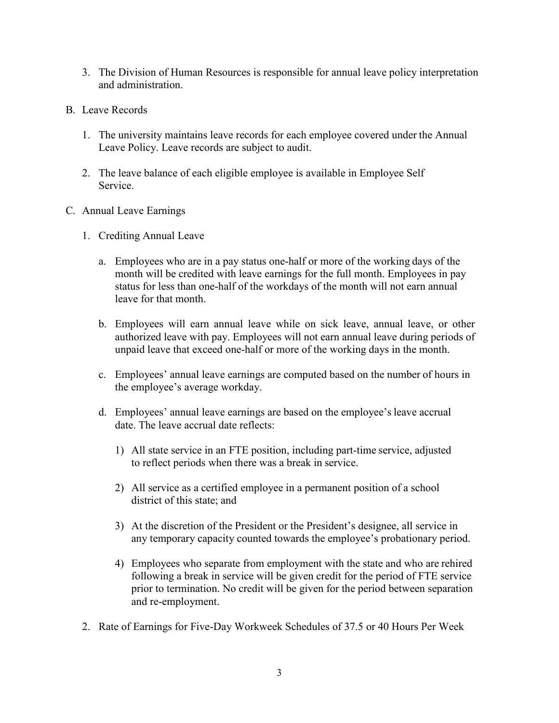- 3. The Division of Human Resources is responsible for annual leave policy interpretation and administration.
- B. Leave Records
	- 1. The university maintains leave records for each employee covered under the Annual Leave Policy. Leave records are subject to audit.
	- 2. The leave balance of each eligible employee is available in Employee Self Service.
- C. Annual Leave Earnings
	- 1. Crediting Annual Leave
		- a. Employees who are in a pay status one-half or more of the working days of the month will be credited with leave earnings for the full month. Employees in pay status for less than one-half of the workdays of the month will not earn annual leave for that month.
		- b. Employees will earn annual leave while on sick leave, annual leave, or other authorized leave with pay. Employees will not earn annual leave during periods of unpaid leave that exceed one-half or more of the working days in the month.
		- c. Employees' annual leave earnings are computed based on the number of hours in the employee's average workday.
		- d. Employees' annual leave earnings are based on the employee'sleave accrual date. The leave accrual date reflects:
			- 1) All state service in an FTE position, including part-time service, adjusted to reflect periods when there was a break in service.
			- 2) All service as a certified employee in a permanent position of a school district of this state; and
			- 3) At the discretion of the President or the President's designee, all service in any temporary capacity counted towards the employee's probationary period.
			- 4) Employees who separate from employment with the state and who are rehired following a break in service will be given credit for the period of FTE service prior to termination. No credit will be given for the period between separation and re-employment.
	- 2. Rate of Earnings for Five-Day Workweek Schedules of 37.5 or 40 Hours Per Week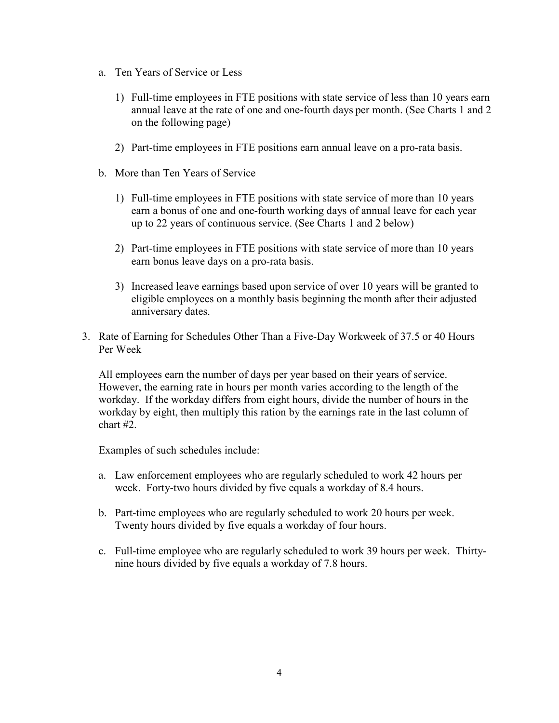- a. Ten Years of Service or Less
	- 1) Full-time employees in FTE positions with state service of less than 10 years earn annual leave at the rate of one and one-fourth days per month. (See Charts 1 and 2 on the following page)
	- 2) Part-time employees in FTE positions earn annual leave on a pro-rata basis.
- b. More than Ten Years of Service
	- 1) Full-time employees in FTE positions with state service of more than 10 years earn a bonus of one and one-fourth working days of annual leave for each year up to 22 years of continuous service. (See Charts 1 and 2 below)
	- 2) Part-time employees in FTE positions with state service of more than 10 years earn bonus leave days on a pro-rata basis.
	- 3) Increased leave earnings based upon service of over 10 years will be granted to eligible employees on a monthly basis beginning the month after their adjusted anniversary dates.
- 3. Rate of Earning for Schedules Other Than a Five-Day Workweek of 37.5 or 40 Hours Per Week

All employees earn the number of days per year based on their years of service. However, the earning rate in hours per month varies according to the length of the workday. If the workday differs from eight hours, divide the number of hours in the workday by eight, then multiply this ration by the earnings rate in the last column of chart #2.

Examples of such schedules include:

- a. Law enforcement employees who are regularly scheduled to work 42 hours per week. Forty-two hours divided by five equals a workday of 8.4 hours.
- b. Part-time employees who are regularly scheduled to work 20 hours per week. Twenty hours divided by five equals a workday of four hours.
- c. Full-time employee who are regularly scheduled to work 39 hours per week. Thirtynine hours divided by five equals a workday of 7.8 hours.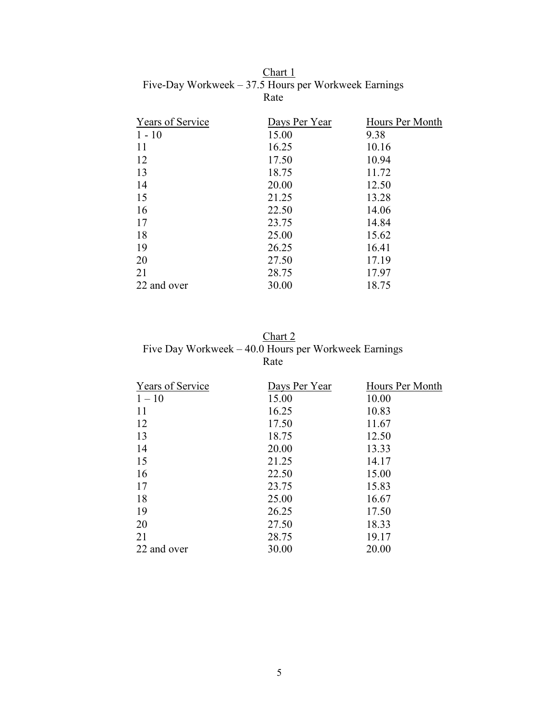| <b>Years of Service</b> | Days Per Year | Hours Per Month |
|-------------------------|---------------|-----------------|
| $1 - 10$                | 15.00         | 9.38            |
| 11                      | 16.25         | 10.16           |
| 12                      | 17.50         | 10.94           |
| 13                      | 18.75         | 11.72           |
| 14                      | 20.00         | 12.50           |
| 15                      | 21.25         | 13.28           |
| 16                      | 22.50         | 14.06           |
| 17                      | 23.75         | 14.84           |
| 18                      | 25.00         | 15.62           |
| 19                      | 26.25         | 16.41           |
| 20                      | 27.50         | 17.19           |
| 21                      | 28.75         | 17.97           |
| 22 and over             | 30.00         | 18.75           |

Chart 1 Five-Day Workweek – 37.5 Hours per Workweek Earnings Rate

Chart 2 Five Day Workweek – 40.0 Hours per Workweek Earnings Rate

| Days Per Year | Hours Per Month |
|---------------|-----------------|
| 15.00         | 10.00           |
| 16.25         | 10.83           |
| 17.50         | 11.67           |
| 18.75         | 12.50           |
| 20.00         | 13.33           |
| 21.25         | 14.17           |
| 22.50         | 15.00           |
| 23.75         | 15.83           |
| 25.00         | 16.67           |
| 26.25         | 17.50           |
| 27.50         | 18.33           |
| 28.75         | 19.17           |
| 30.00         | 20.00           |
|               |                 |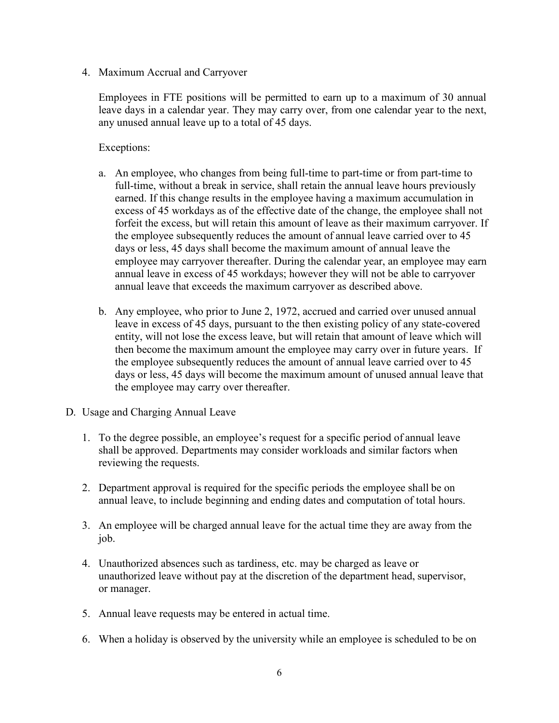4. Maximum Accrual and Carryover

Employees in FTE positions will be permitted to earn up to a maximum of 30 annual leave days in a calendar year. They may carry over, from one calendar year to the next, any unused annual leave up to a total of 45 days.

Exceptions:

- a. An employee, who changes from being full-time to part-time or from part-time to full-time, without a break in service, shall retain the annual leave hours previously earned. If this change results in the employee having a maximum accumulation in excess of 45 workdays as of the effective date of the change, the employee shall not forfeit the excess, but will retain this amount of leave as their maximum carryover. If the employee subsequently reduces the amount of annual leave carried over to 45 days or less, 45 days shall become the maximum amount of annual leave the employee may carryover thereafter. During the calendar year, an employee may earn annual leave in excess of 45 workdays; however they will not be able to carryover annual leave that exceeds the maximum carryover as described above.
- b. Any employee, who prior to June 2, 1972, accrued and carried over unused annual leave in excess of 45 days, pursuant to the then existing policy of any state-covered entity, will not lose the excess leave, but will retain that amount of leave which will then become the maximum amount the employee may carry over in future years. If the employee subsequently reduces the amount of annual leave carried over to 45 days or less, 45 days will become the maximum amount of unused annual leave that the employee may carry over thereafter.
- D. Usage and Charging Annual Leave
	- 1. To the degree possible, an employee's request for a specific period of annual leave shall be approved. Departments may consider workloads and similar factors when reviewing the requests.
	- 2. Department approval is required for the specific periods the employee shall be on annual leave, to include beginning and ending dates and computation of total hours.
	- 3. An employee will be charged annual leave for the actual time they are away from the job.
	- 4. Unauthorized absences such as tardiness, etc. may be charged as leave or unauthorized leave without pay at the discretion of the department head, supervisor, or manager.
	- 5. Annual leave requests may be entered in actual time.
	- 6. When a holiday is observed by the university while an employee is scheduled to be on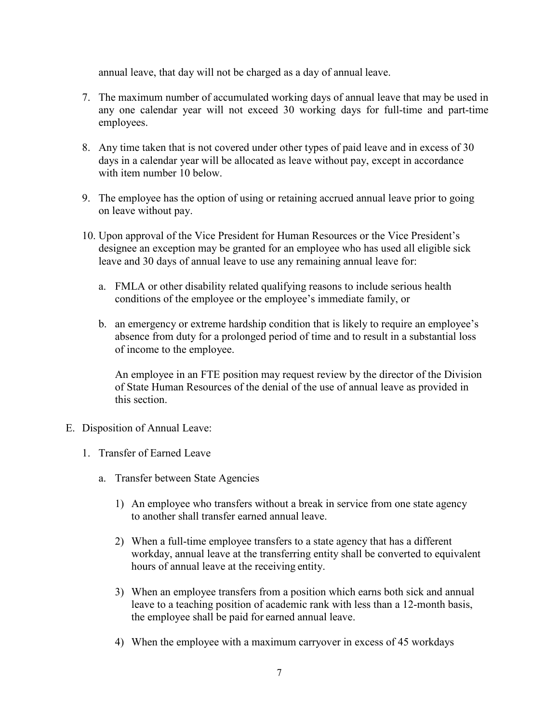annual leave, that day will not be charged as a day of annual leave.

- 7. The maximum number of accumulated working days of annual leave that may be used in any one calendar year will not exceed 30 working days for full-time and part-time employees.
- 8. Any time taken that is not covered under other types of paid leave and in excess of 30 days in a calendar year will be allocated as leave without pay, except in accordance with item number 10 below.
- 9. The employee has the option of using or retaining accrued annual leave prior to going on leave without pay.
- 10. Upon approval of the Vice President for Human Resources or the Vice President's designee an exception may be granted for an employee who has used all eligible sick leave and 30 days of annual leave to use any remaining annual leave for:
	- a. FMLA or other disability related qualifying reasons to include serious health conditions of the employee or the employee's immediate family, or
	- b. an emergency or extreme hardship condition that is likely to require an employee's absence from duty for a prolonged period of time and to result in a substantial loss of income to the employee.

An employee in an FTE position may request review by the director of the Division of State Human Resources of the denial of the use of annual leave as provided in this section.

- E. Disposition of Annual Leave:
	- 1. Transfer of Earned Leave
		- a. Transfer between State Agencies
			- 1) An employee who transfers without a break in service from one state agency to another shall transfer earned annual leave.
			- 2) When a full-time employee transfers to a state agency that has a different workday, annual leave at the transferring entity shall be converted to equivalent hours of annual leave at the receiving entity.
			- 3) When an employee transfers from a position which earns both sick and annual leave to a teaching position of academic rank with less than a 12-month basis, the employee shall be paid for earned annual leave.
			- 4) When the employee with a maximum carryover in excess of 45 workdays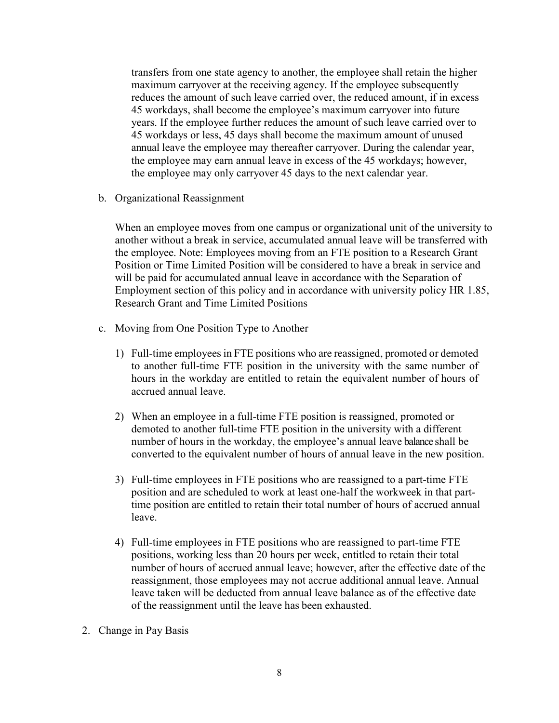transfers from one state agency to another, the employee shall retain the higher maximum carryover at the receiving agency. If the employee subsequently reduces the amount of such leave carried over, the reduced amount, if in excess 45 workdays, shall become the employee's maximum carryover into future years. If the employee further reduces the amount of such leave carried over to 45 workdays or less, 45 days shall become the maximum amount of unused annual leave the employee may thereafter carryover. During the calendar year, the employee may earn annual leave in excess of the 45 workdays; however, the employee may only carryover 45 days to the next calendar year.

b. Organizational Reassignment

When an employee moves from one campus or organizational unit of the university to another without a break in service, accumulated annual leave will be transferred with the employee. Note: Employees moving from an FTE position to a Research Grant Position or Time Limited Position will be considered to have a break in service and will be paid for accumulated annual leave in accordance with the Separation of Employment section of this policy and in accordance with university policy HR 1.85, Research Grant and Time Limited Positions

- c. Moving from One Position Type to Another
	- 1) Full-time employees in FTE positions who are reassigned, promoted or demoted to another full-time FTE position in the university with the same number of hours in the workday are entitled to retain the equivalent number of hours of accrued annual leave.
	- 2) When an employee in a full-time FTE position is reassigned, promoted or demoted to another full-time FTE position in the university with a different number of hours in the workday, the employee's annual leave balance shall be converted to the equivalent number of hours of annual leave in the new position.
	- 3) Full-time employees in FTE positions who are reassigned to a part-time FTE position and are scheduled to work at least one-half the workweek in that parttime position are entitled to retain their total number of hours of accrued annual leave.
	- 4) Full-time employees in FTE positions who are reassigned to part-time FTE positions, working less than 20 hours per week, entitled to retain their total number of hours of accrued annual leave; however, after the effective date of the reassignment, those employees may not accrue additional annual leave. Annual leave taken will be deducted from annual leave balance as of the effective date of the reassignment until the leave has been exhausted.
- 2. Change in Pay Basis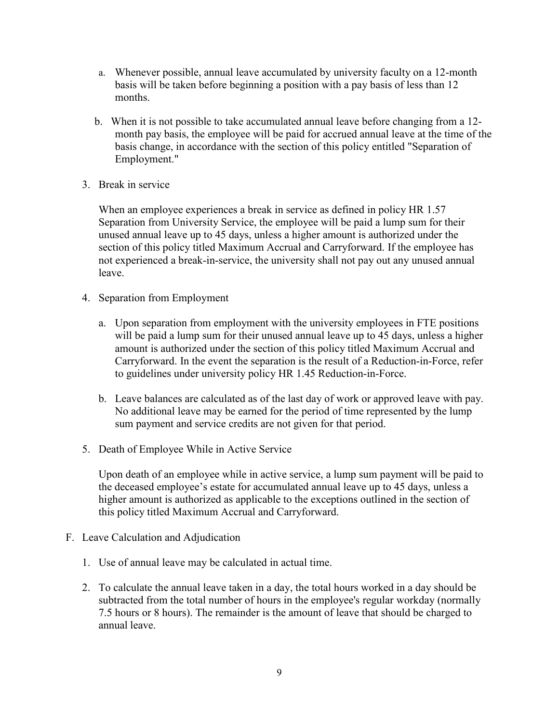- a. Whenever possible, annual leave accumulated by university faculty on a 12-month basis will be taken before beginning a position with a pay basis of less than 12 months.
- b. When it is not possible to take accumulated annual leave before changing from a 12 month pay basis, the employee will be paid for accrued annual leave at the time of the basis change, in accordance with the section of this policy entitled "Separation of Employment."
- 3. Break in service

When an employee experiences a break in service as defined in policy HR 1.57 Separation from University Service, the employee will be paid a lump sum for their unused annual leave up to 45 days, unless a higher amount is authorized under the section of this policy titled Maximum Accrual and Carryforward. If the employee has not experienced a break-in-service, the university shall not pay out any unused annual leave.

- 4. Separation from Employment
	- a. Upon separation from employment with the university employees in FTE positions will be paid a lump sum for their unused annual leave up to 45 days, unless a higher amount is authorized under the section of this policy titled Maximum Accrual and Carryforward. In the event the separation is the result of a Reduction-in-Force, refer to guidelines under university policy HR 1.45 Reduction-in-Force.
	- b. Leave balances are calculated as of the last day of work or approved leave with pay. No additional leave may be earned for the period of time represented by the lump sum payment and service credits are not given for that period.
- 5. Death of Employee While in Active Service

Upon death of an employee while in active service, a lump sum payment will be paid to the deceased employee's estate for accumulated annual leave up to 45 days, unless a higher amount is authorized as applicable to the exceptions outlined in the section of this policy titled Maximum Accrual and Carryforward.

- F. Leave Calculation and Adjudication
	- 1. Use of annual leave may be calculated in actual time.
	- 2. To calculate the annual leave taken in a day, the total hours worked in a day should be subtracted from the total number of hours in the employee's regular workday (normally 7.5 hours or 8 hours). The remainder is the amount of leave that should be charged to annual leave.